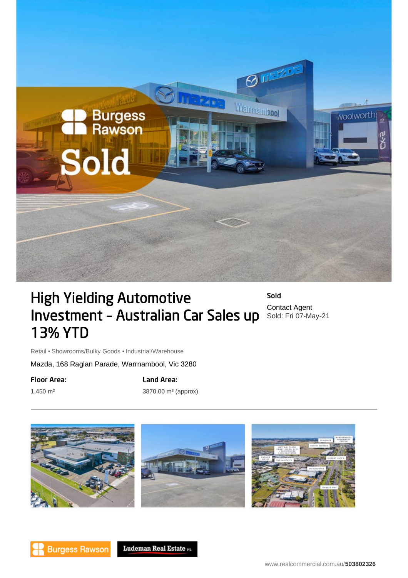

## High Yielding Automotive Investment – Australian Car Sales up 13% YTD

Sold Contact Agent Sold: Fri 07-May-21

Retail • Showrooms/Bulky Goods • Industrial/Warehouse

Mazda, 168 Raglan Parade, Warrnambool, Vic 3280

Floor Area:

1,450 m²

Land Area: 3870.00 m² (approx)